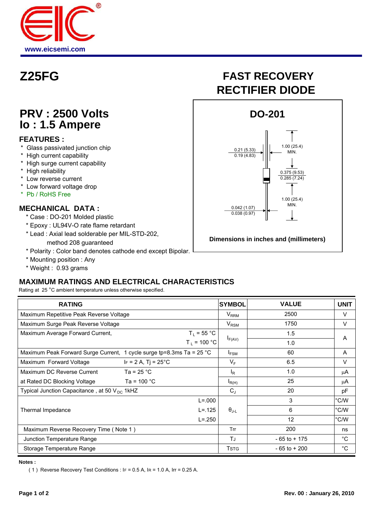

## **PRV : 2500 Volts Io : 1.5 Ampere**

#### **FEATURES :**

- \* Glass passivated junction chip
- \* High current capability
- \* High surge current capability
- \* High reliability
- \* Low reverse current
- \* Low forward voltage drop
- \* Pb / RoHS Free

#### **MECHANICAL DATA :**

- \* Case : DO-201 Molded plastic
- \* Epoxy : UL94V-O rate flame retardant
- \* Lead : Axial lead solderable per MIL-STD-202, method 208 guaranteed
- \* Polarity : Color band denotes cathode end except Bipolar.
- \* Mounting position : Any
- \* Weight : 0.93 grams

### **MAXIMUM RATINGS AND ELECTRICAL CHARACTERISTICS**

Rating at 25 °C ambient temperature unless otherwise specified.

| <b>RATING</b>                                                                  |                              | <b>SYMBOL</b>         | <b>VALUE</b>    | <b>UNIT</b>  |
|--------------------------------------------------------------------------------|------------------------------|-----------------------|-----------------|--------------|
| Maximum Repetitive Peak Reverse Voltage                                        |                              | $V_{RRM}$             | 2500            | $\vee$       |
| Maximum Surge Peak Reverse Voltage                                             |                              | $V_{\rm RSM}$         | 1750            | $\vee$       |
| $T_L$ = 55 °C<br>Maximum Average Forward Current,                              |                              |                       | 1.5             | A            |
|                                                                                | $T_L$ = 100 °C               | $I_{F(AV)}$           | 1.0             |              |
| Maximum Peak Forward Surge Current, 1 cycle surge tp=8.3ms Ta = $25^{\circ}$ C |                              | I <sub>FSM</sub>      | 60              | A            |
| Maximum Forward Voltage                                                        | $IF = 2 A, Tj = 25^{\circ}C$ | $V_F$                 | 6.5             | $\vee$       |
| Maximum DC Reverse Current                                                     | Ta = $25 °C$                 | ΙŖ                    | 1.0             | μA           |
| at Rated DC Blocking Voltage                                                   | Ta = 100 $^{\circ}$ C        | $I_{R(H)}$            | 25              | μA           |
| Typical Junction Capacitance, at 50 $V_{DC}$ 1kHZ                              |                              | $C_{J}$               | 20              | pF           |
|                                                                                | $L = 000$                    |                       | 3               | °C/W         |
| Thermal Impedance                                                              |                              | $\Theta_{\text{J-L}}$ | 6               | °C/W         |
|                                                                                | $L = 250$                    |                       | 12              | °C/W         |
| Maximum Reverse Recovery Time (Note 1)                                         |                              | Trr                   | 200             | ns           |
| Junction Temperature Range                                                     |                              | TJ                    | $-65$ to $+175$ | °C           |
| Storage Temperature Range                                                      |                              | <b>TSTG</b>           | $-65$ to $+200$ | $^{\circ}$ C |

**Notes :**

( 1 ) Reverse Recovery Test Conditions :  $IF = 0.5 A$ ,  $IR = 1.0 A$ ,  $Ir = 0.25 A$ .

# **Z25FG FAST RECOVERY RECTIFIER DIODE**



**Dimensions in inches and (millimeters)**